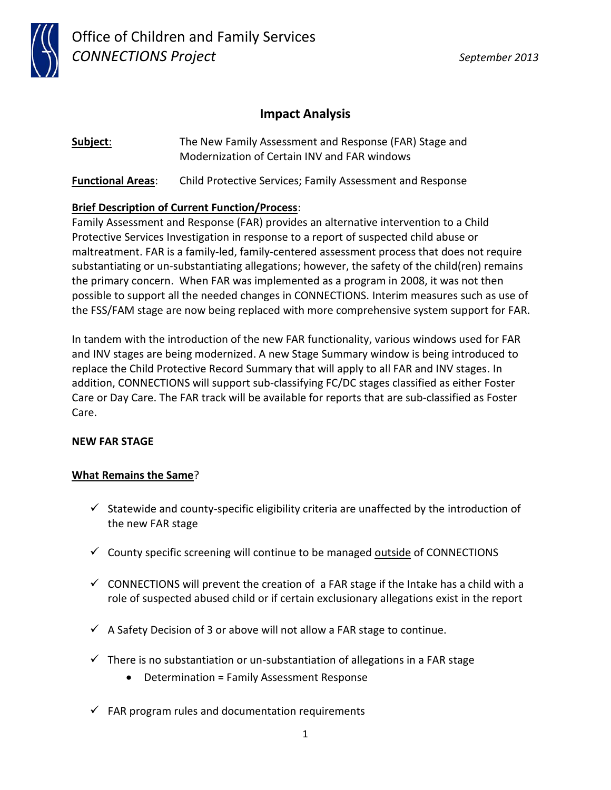

## **Impact Analysis**

**Subject**: The New Family Assessment and Response (FAR) Stage and Modernization of Certain INV and FAR windows

**Functional Areas**: Child Protective Services; Family Assessment and Response

## **Brief Description of Current Function/Process**:

Family Assessment and Response (FAR) provides an alternative intervention to a Child Protective Services Investigation in response to a report of suspected child abuse or maltreatment. FAR is a family-led, family-centered assessment process that does not require substantiating or un-substantiating allegations; however, the safety of the child(ren) remains the primary concern. When FAR was implemented as a program in 2008, it was not then possible to support all the needed changes in CONNECTIONS. Interim measures such as use of the FSS/FAM stage are now being replaced with more comprehensive system support for FAR.

In tandem with the introduction of the new FAR functionality, various windows used for FAR and INV stages are being modernized. A new Stage Summary window is being introduced to replace the Child Protective Record Summary that will apply to all FAR and INV stages. In addition, CONNECTIONS will support sub-classifying FC/DC stages classified as either Foster Care or Day Care. The FAR track will be available for reports that are sub-classified as Foster Care.

### **NEW FAR STAGE**

### **What Remains the Same**?

- $\checkmark$  Statewide and county-specific eligibility criteria are unaffected by the introduction of the new FAR stage
- $\checkmark$  County specific screening will continue to be managed <u>outside</u> of CONNECTIONS
- $\checkmark$  CONNECTIONS will prevent the creation of a FAR stage if the Intake has a child with a role of suspected abused child or if certain exclusionary allegations exist in the report
- $\checkmark$  A Safety Decision of 3 or above will not allow a FAR stage to continue.
- $\checkmark$  There is no substantiation or un-substantiation of allegations in a FAR stage
	- Determination = Family Assessment Response
- $\checkmark$  FAR program rules and documentation requirements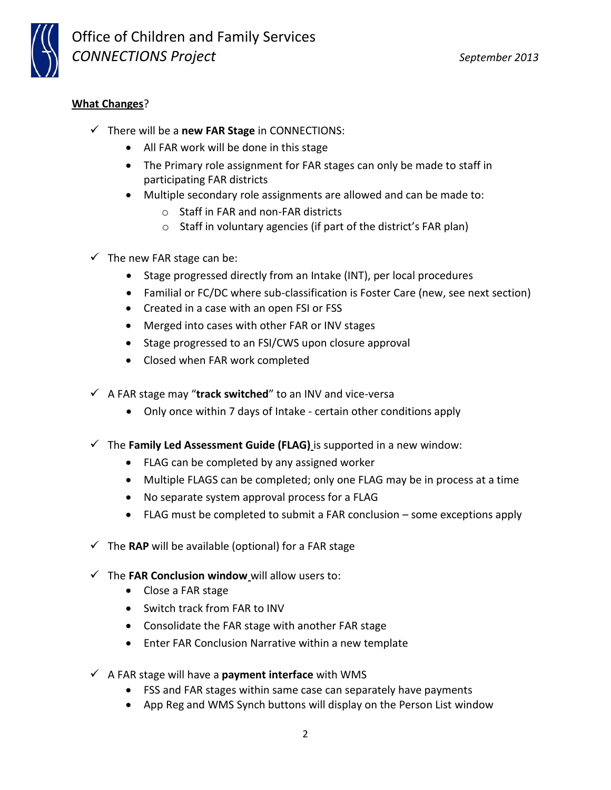

## **What Changes**?

- There will be a **new FAR Stage** in CONNECTIONS:
	- All FAR work will be done in this stage
	- The Primary role assignment for FAR stages can only be made to staff in participating FAR districts
	- Multiple secondary role assignments are allowed and can be made to:
		- o Staff in FAR and non-FAR districts
		- o Staff in voluntary agencies (if part of the district's FAR plan)
- $\checkmark$  The new FAR stage can be:
	- Stage progressed directly from an Intake (INT), per local procedures
	- Familial or FC/DC where sub-classification is Foster Care (new, see next section)
	- Created in a case with an open FSI or FSS
	- Merged into cases with other FAR or INV stages
	- Stage progressed to an FSI/CWS upon closure approval
	- Closed when FAR work completed
- $\checkmark$  A FAR stage may "track switched" to an INV and vice-versa
	- Only once within 7 days of Intake certain other conditions apply
- $\checkmark$  The **Family Led Assessment Guide (FLAG)** is supported in a new window:
	- FLAG can be completed by any assigned worker
	- Multiple FLAGS can be completed; only one FLAG may be in process at a time
	- No separate system approval process for a FLAG
	- FLAG must be completed to submit a FAR conclusion some exceptions apply
- $\checkmark$  The **RAP** will be available (optional) for a FAR stage
- $\checkmark$  The **FAR Conclusion window** will allow users to:
	- Close a FAR stage
	- Switch track from FAR to INV
	- Consolidate the FAR stage with another FAR stage
	- Enter FAR Conclusion Narrative within a new template
- $\checkmark$  A FAR stage will have a **payment interface** with WMS
	- FSS and FAR stages within same case can separately have payments
	- App Reg and WMS Synch buttons will display on the Person List window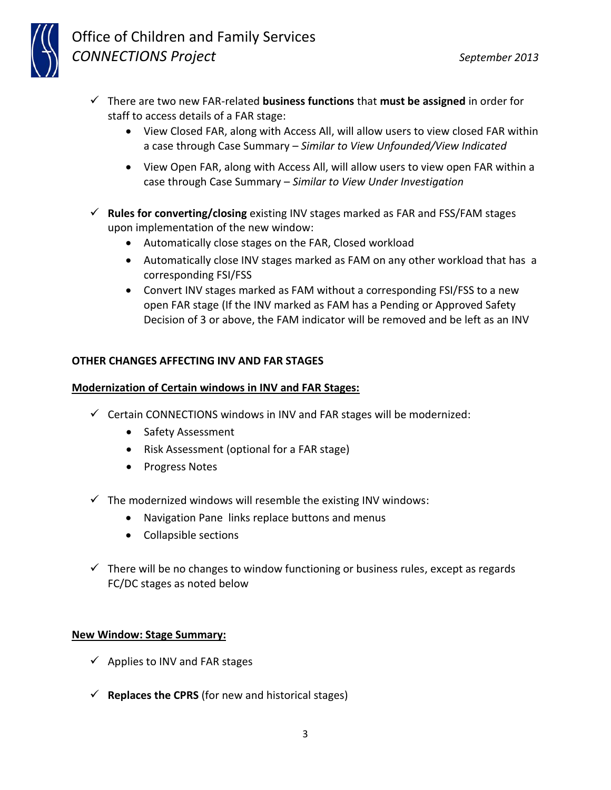- There are two new FAR-related **business functions** that **must be assigned** in order for staff to access details of a FAR stage:
	- View Closed FAR, along with Access All, will allow users to view closed FAR within a case through Case Summary – *Similar to View Unfounded/View Indicated*
	- View Open FAR, along with Access All, will allow users to view open FAR within a case through Case Summary – *Similar to View Under Investigation*
- **Rules for converting/closing** existing INV stages marked as FAR and FSS/FAM stages upon implementation of the new window:
	- Automatically close stages on the FAR, Closed workload
	- Automatically close INV stages marked as FAM on any other workload that has a corresponding FSI/FSS
	- Convert INV stages marked as FAM without a corresponding FSI/FSS to a new open FAR stage (If the INV marked as FAM has a Pending or Approved Safety Decision of 3 or above, the FAM indicator will be removed and be left as an INV

### **OTHER CHANGES AFFECTING INV AND FAR STAGES**

### **Modernization of Certain windows in INV and FAR Stages:**

- $\checkmark$  Certain CONNECTIONS windows in INV and FAR stages will be modernized:
	- Safety Assessment
	- Risk Assessment (optional for a FAR stage)
	- Progress Notes
- $\checkmark$  The modernized windows will resemble the existing INV windows:
	- Navigation Pane links replace buttons and menus
	- Collapsible sections
- $\checkmark$  There will be no changes to window functioning or business rules, except as regards FC/DC stages as noted below

### **New Window: Stage Summary:**

- $\checkmark$  Applies to INV and FAR stages
- $\checkmark$  **Replaces the CPRS** (for new and historical stages)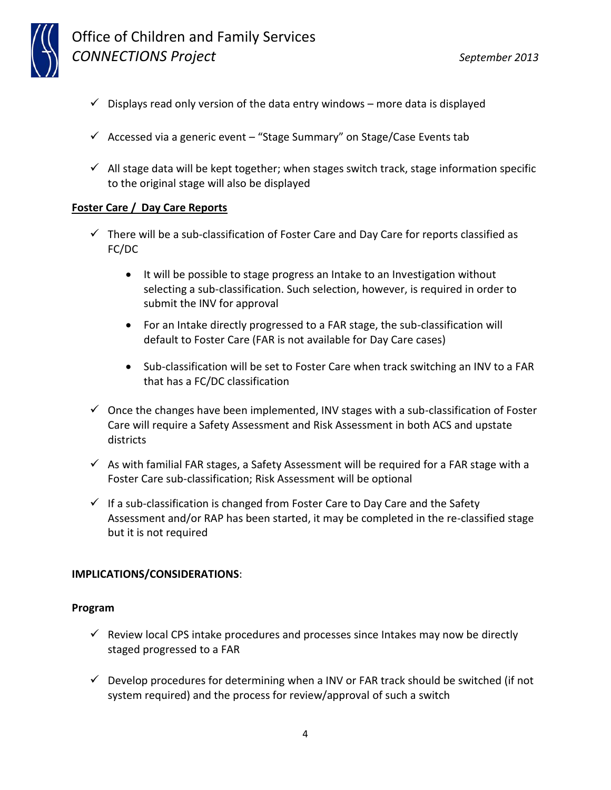

## Office of Children and Family Services *CONNECTIONS Project September 2013*

- $\checkmark$  Displays read only version of the data entry windows more data is displayed
- $\checkmark$  Accessed via a generic event "Stage Summary" on Stage/Case Events tab
- $\checkmark$  All stage data will be kept together; when stages switch track, stage information specific to the original stage will also be displayed

### **Foster Care / Day Care Reports**

- $\checkmark$  There will be a sub-classification of Foster Care and Day Care for reports classified as FC/DC
	- It will be possible to stage progress an Intake to an Investigation without selecting a sub-classification. Such selection, however, is required in order to submit the INV for approval
	- For an Intake directly progressed to a FAR stage, the sub-classification will default to Foster Care (FAR is not available for Day Care cases)
	- Sub-classification will be set to Foster Care when track switching an INV to a FAR that has a FC/DC classification
- $\checkmark$  Once the changes have been implemented, INV stages with a sub-classification of Foster Care will require a Safety Assessment and Risk Assessment in both ACS and upstate districts
- $\checkmark$  As with familial FAR stages, a Safety Assessment will be required for a FAR stage with a Foster Care sub-classification; Risk Assessment will be optional
- $\checkmark$  If a sub-classification is changed from Foster Care to Day Care and the Safety Assessment and/or RAP has been started, it may be completed in the re-classified stage but it is not required

### **IMPLICATIONS/CONSIDERATIONS**:

#### **Program**

- $\checkmark$  Review local CPS intake procedures and processes since Intakes may now be directly staged progressed to a FAR
- $\checkmark$  Develop procedures for determining when a INV or FAR track should be switched (if not system required) and the process for review/approval of such a switch